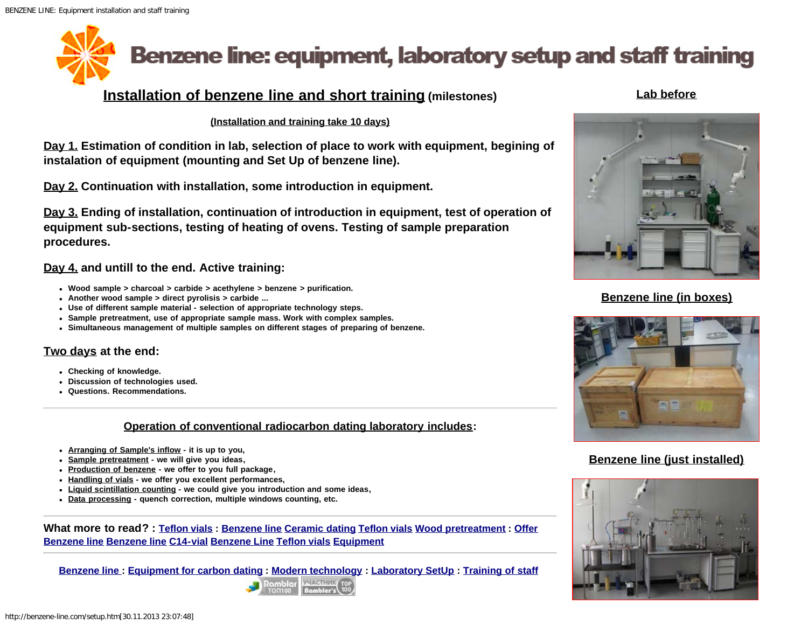<span id="page-0-0"></span>

# **Installation of benzene line and short training (milestones)**

#### **Lab before**

#### **(Installation and training take 10 days)**

**Day 1. Estimation of condition in lab, selection of place to work with equipment, begining of instalation of equipment (mounting and Set Up of benzene line).**

**Day 2. Continuation with installation, some introduction in equipment.**

**Day 3. Ending of installation, continuation of introduction in equipment, test of operation of equipment sub-sections, testing of heating of ovens. Testing of sample preparation procedures.** 

#### **Day 4. and untill to the end. Active training:**

- **Wood sample > charcoal > carbide > acethylene > benzene > purification.**
- **Another wood sample > direct pyrolisis > carbide ...**
- **Use of different sample material selection of appropriate technology steps.**
- **Sample pretreatment, use of appropriate sample mass. Work with complex samples.**
- **Simultaneous management of multiple samples on different stages of preparing of benzene.**

### **Two days at the end:**

- **Checking of knowledge.**
- **Discussion of technologies used.**
- **Questions. Recommendations.**

#### **Operation of conventional radiocarbon dating laboratory includes:**

- **Arranging of Sample's inflow it is up to you,**
- **Sample pretreatment we will give you ideas,**
- **Production of benzene we offer to you full package,**
- **Handling of vials we offer you excellent performances,**
- **Liquid scintillation counting we could give you introduction and some ideas,**
- **Data processing quench correction, multiple windows counting, etc.**

**What more to read? : [Teflon vials](http://benzene-line.com/teflon-vials.html) : [Benzene line](http://benzene-line.com/images/benzene-line.jpg) [Ceramic dating](http://benzene-line.com/images/pottery_ceramic_carbon_dating.jpg) [Teflon vials](http://benzene-line.com/images/teflon-vials.jpg) [Wood pretreatment](http://benzene-line.com/images/wood-treatment-in-soxhlet.jpg) : [Offer](http://benzene-line.com/pdf/benzeneline.pdf) [Benzene line](http://benzene-line.com/pdf/benzeneline.pdf) [Benzene line](http://benzene-line.com/pdf/benzene-line.pdf) [C14-vial](http://benzene-line.com/pdf/1995-c14-vial.pdf) [Benzene Line](http://benzene-line.com/pdf/Benzene Line.pdf) [Teflon vials](http://benzene-line.com/pdf/Teflon vials.pdf) [Equipment](http://benzene-line.com/pdf/Equipment.pdf)**

**[Benzene line :](http://benzene-line.com/) [Equipment for carbon dating](http://benzene-line.com/equipment.htm) [:](http://top100.rambler.ru/home?id=2963693) [Modern technology](http://benzene-line.com/technology.htm) : [Laboratory SetUp](#page-0-0) : [Training of staff](http://benzene-line.com/training.htm)**





### **Benzene line (in boxes)**



## **Benzene line (just installed)**